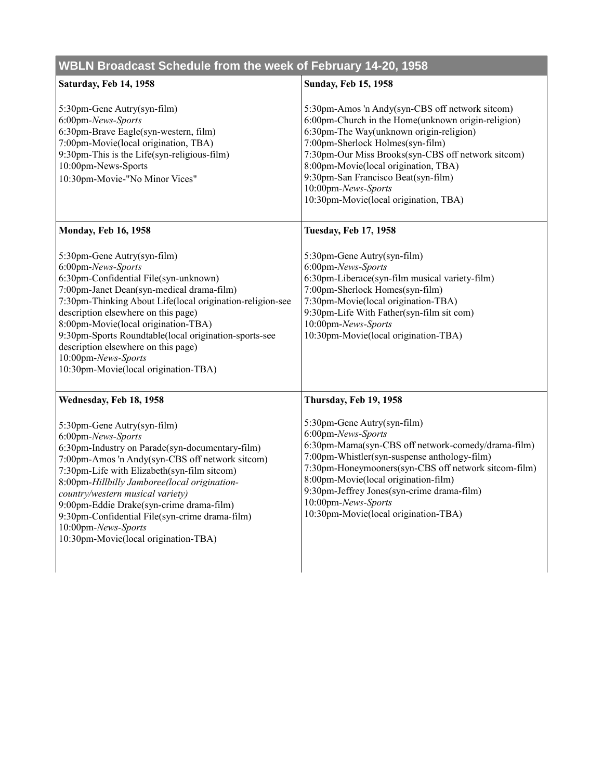| WBLN Broadcast Schedule from the week of February 14-20, 1958                                                                                                                                                                                                                                                                                                                                                                                           |                                                                                                                                                                                                                                                                                                                                                                                           |
|---------------------------------------------------------------------------------------------------------------------------------------------------------------------------------------------------------------------------------------------------------------------------------------------------------------------------------------------------------------------------------------------------------------------------------------------------------|-------------------------------------------------------------------------------------------------------------------------------------------------------------------------------------------------------------------------------------------------------------------------------------------------------------------------------------------------------------------------------------------|
| <b>Saturday, Feb 14, 1958</b>                                                                                                                                                                                                                                                                                                                                                                                                                           | <b>Sunday, Feb 15, 1958</b>                                                                                                                                                                                                                                                                                                                                                               |
| 5:30pm-Gene Autry(syn-film)<br>6:00pm-News-Sports<br>6:30pm-Brave Eagle(syn-western, film)<br>7:00pm-Movie(local origination, TBA)<br>9:30pm-This is the Life(syn-religious-film)<br>10:00pm-News-Sports<br>10:30pm-Movie-"No Minor Vices"                                                                                                                                                                                                              | 5:30pm-Amos 'n Andy(syn-CBS off network sitcom)<br>6:00pm-Church in the Home(unknown origin-religion)<br>6:30pm-The Way(unknown origin-religion)<br>7:00pm-Sherlock Holmes(syn-film)<br>7:30pm-Our Miss Brooks(syn-CBS off network sitcom)<br>8:00pm-Movie(local origination, TBA)<br>9:30pm-San Francisco Beat(syn-film)<br>10:00pm-News-Sports<br>10:30pm-Movie(local origination, TBA) |
| <b>Monday, Feb 16, 1958</b>                                                                                                                                                                                                                                                                                                                                                                                                                             | <b>Tuesday, Feb 17, 1958</b>                                                                                                                                                                                                                                                                                                                                                              |
| 5:30pm-Gene Autry(syn-film)<br>6:00pm-News-Sports<br>6:30pm-Confidential File(syn-unknown)<br>7:00pm-Janet Dean(syn-medical drama-film)<br>7:30pm-Thinking About Life(local origination-religion-see<br>description elsewhere on this page)<br>8:00pm-Movie(local origination-TBA)<br>9:30pm-Sports Roundtable(local origination-sports-see<br>description elsewhere on this page)<br>10:00pm-News-Sports<br>10:30pm-Movie(local origination-TBA)       | 5:30pm-Gene Autry(syn-film)<br>6:00pm-News-Sports<br>6:30pm-Liberace(syn-film musical variety-film)<br>7:00pm-Sherlock Homes(syn-film)<br>7:30pm-Movie(local origination-TBA)<br>9:30pm-Life With Father(syn-film sit com)<br>10:00pm-News-Sports<br>10:30pm-Movie(local origination-TBA)                                                                                                 |
| Wednesday, Feb 18, 1958                                                                                                                                                                                                                                                                                                                                                                                                                                 | Thursday, Feb 19, 1958                                                                                                                                                                                                                                                                                                                                                                    |
| 5:30pm-Gene Autry(syn-film)<br>6:00pm-News-Sports<br>6:30pm-Industry on Parade(syn-documentary-film)<br>7:00pm-Amos 'n Andy(syn-CBS off network sitcom)<br>7:30pm-Life with Elizabeth(syn-film sitcom)<br>8:00pm-Hillbilly Jamboree(local origination-<br>country/western musical variety)<br>9:00pm-Eddie Drake(syn-crime drama-film)<br>9:30pm-Confidential File(syn-crime drama-film)<br>10:00pm-News-Sports<br>10:30pm-Movie(local origination-TBA) | 5:30pm-Gene Autry(syn-film)<br>6:00pm-News-Sports<br>6:30pm-Mama(syn-CBS off network-comedy/drama-film)<br>7:00pm-Whistler(syn-suspense anthology-film)<br>7:30pm-Honeymooners(syn-CBS off network sitcom-film)<br>8:00pm-Movie(local origination-film)<br>9:30pm-Jeffrey Jones(syn-crime drama-film)<br>10:00pm-News-Sports<br>10:30pm-Movie(local origination-TBA)                      |

,我们就会在这里,我们就会在这里的时候,我们就会在这里,我们就会在这里,我们就会在这里,我们就会在这里,我们就会在这里,我们就会在这里,我们就会在这里,我们就会